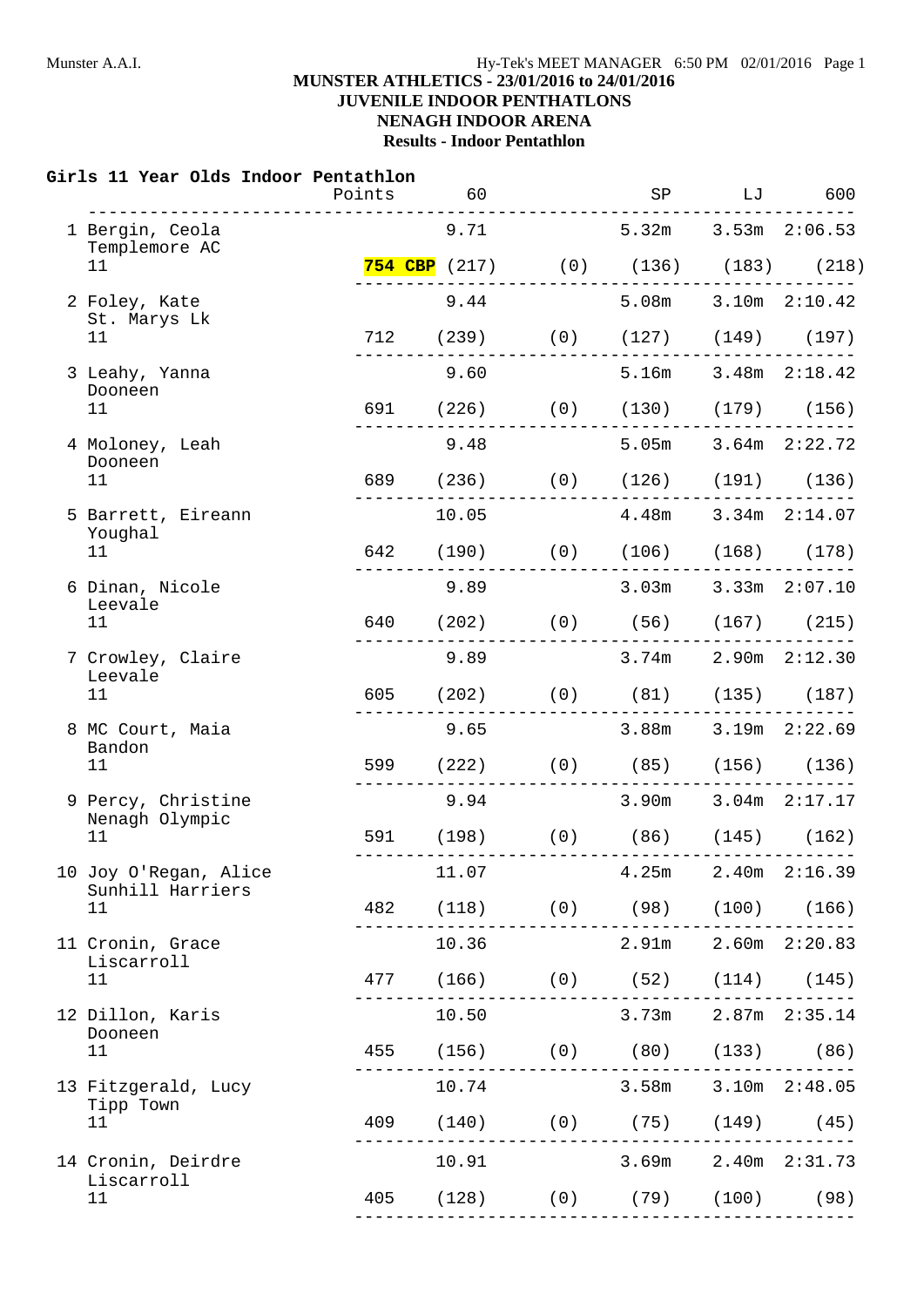#### **MUNSTER ATHLETICS - 23/01/2016 to 24/01/2016 JUVENILE INDOOR PENTHATLONS**

# **NENAGH INDOOR ARENA**

**Results - Indoor Pentathlon**

#### **Girls 11 Year Olds Indoor Pentathlon**

|                                                                                                                                                                                                              | Points | 60                            | SP                                                                                                                                                                                                                                                                                                                                                                                                                                                                                                                                                                                                                                        | LJ | 600                 |
|--------------------------------------------------------------------------------------------------------------------------------------------------------------------------------------------------------------|--------|-------------------------------|-------------------------------------------------------------------------------------------------------------------------------------------------------------------------------------------------------------------------------------------------------------------------------------------------------------------------------------------------------------------------------------------------------------------------------------------------------------------------------------------------------------------------------------------------------------------------------------------------------------------------------------------|----|---------------------|
| 1 Bergin, Ceola                                                                                                                                                                                              |        | 9.71                          |                                                                                                                                                                                                                                                                                                                                                                                                                                                                                                                                                                                                                                           |    | $3.53m$ $2:06.53$   |
| 11                                                                                                                                                                                                           |        |                               | 5.32m<br><b>754 CBP</b> (217) (0) (136) (183) (218)<br>5.08m 3.10m 2:10.42<br>712 (239) (0) (127) (149) (197)<br>5.16m<br>691 (226) (0) (130) (179) (156)<br>5.05m 3.64m 2:22.72<br>689 (236) (0) (126) (191) (136)<br>10.05 4.48m 3.34m 2:14.07<br>642 (190) (0) (106) (168) (178)<br>$3.03m$ $3.33m$ $2:07.10$<br>640 (202) (0) (56) (167) (215)<br>$3.74m$ $2.90m$ $2:12.30$<br>$(202)$ (0) $(81)$ $(135)$ $(187)$<br>3.88m<br>599 (222) (0) (85) (156) (136)<br>3.90m<br>591 (198) (0) (86) (145) (162)<br>4.25m<br>$(118)$ (0) (98) (100) (166)<br>2.91m<br>477 (166) (0) (52) (114) (145)<br>3.73m<br>455 (156) (0) (80) (133) (86) |    |                     |
| 2 Foley, Kate                                                                                                                                                                                                |        | 9.44                          |                                                                                                                                                                                                                                                                                                                                                                                                                                                                                                                                                                                                                                           |    |                     |
| 11                                                                                                                                                                                                           |        |                               |                                                                                                                                                                                                                                                                                                                                                                                                                                                                                                                                                                                                                                           |    |                     |
| 3 Leahy, Yanna                                                                                                                                                                                               |        | 9.60                          |                                                                                                                                                                                                                                                                                                                                                                                                                                                                                                                                                                                                                                           |    | $3.48m$ $2:18.42$   |
| 11                                                                                                                                                                                                           |        |                               |                                                                                                                                                                                                                                                                                                                                                                                                                                                                                                                                                                                                                                           |    |                     |
| 4 Moloney, Leah                                                                                                                                                                                              |        | 9.48                          |                                                                                                                                                                                                                                                                                                                                                                                                                                                                                                                                                                                                                                           |    |                     |
| 11                                                                                                                                                                                                           |        |                               |                                                                                                                                                                                                                                                                                                                                                                                                                                                                                                                                                                                                                                           |    |                     |
| 5 Barrett, Eireann                                                                                                                                                                                           |        |                               |                                                                                                                                                                                                                                                                                                                                                                                                                                                                                                                                                                                                                                           |    |                     |
| 11                                                                                                                                                                                                           |        |                               |                                                                                                                                                                                                                                                                                                                                                                                                                                                                                                                                                                                                                                           |    |                     |
| 6 Dinan, Nicole                                                                                                                                                                                              |        | 9.89                          |                                                                                                                                                                                                                                                                                                                                                                                                                                                                                                                                                                                                                                           |    |                     |
| 11                                                                                                                                                                                                           |        |                               |                                                                                                                                                                                                                                                                                                                                                                                                                                                                                                                                                                                                                                           |    |                     |
| 7 Crowley, Claire                                                                                                                                                                                            |        | 9.89                          |                                                                                                                                                                                                                                                                                                                                                                                                                                                                                                                                                                                                                                           |    |                     |
| 11                                                                                                                                                                                                           |        |                               |                                                                                                                                                                                                                                                                                                                                                                                                                                                                                                                                                                                                                                           |    |                     |
| 8 MC Court, Maia                                                                                                                                                                                             |        | 9.65                          |                                                                                                                                                                                                                                                                                                                                                                                                                                                                                                                                                                                                                                           |    | $3.19m$ $2:22.69$   |
| 11                                                                                                                                                                                                           |        |                               |                                                                                                                                                                                                                                                                                                                                                                                                                                                                                                                                                                                                                                           |    |                     |
| 9 Percy, Christine                                                                                                                                                                                           |        | 9.94                          |                                                                                                                                                                                                                                                                                                                                                                                                                                                                                                                                                                                                                                           |    | $3.04m$ $2:17.17$   |
| 11                                                                                                                                                                                                           |        |                               |                                                                                                                                                                                                                                                                                                                                                                                                                                                                                                                                                                                                                                           |    |                     |
| 10 Joy O'Regan, Alice                                                                                                                                                                                        |        | 11.07                         |                                                                                                                                                                                                                                                                                                                                                                                                                                                                                                                                                                                                                                           |    | $2.40m$ $2:16.39$   |
| Templemore AC<br>St. Marys Lk<br>Dooneen<br>Dooneen<br>Youghal<br>Leevale<br>Leevale<br>605<br>Bandon<br>Nenagh Olympic<br>Sunhill Harriers<br>482<br>11<br>Liscarroll<br>Dooneen<br>Tipp Town<br>Liscarroll |        |                               |                                                                                                                                                                                                                                                                                                                                                                                                                                                                                                                                                                                                                                           |    |                     |
| 11 Cronin, Grace                                                                                                                                                                                             |        | 10.36                         |                                                                                                                                                                                                                                                                                                                                                                                                                                                                                                                                                                                                                                           |    | $2.60m$ $2:20.83$   |
| 11                                                                                                                                                                                                           |        |                               |                                                                                                                                                                                                                                                                                                                                                                                                                                                                                                                                                                                                                                           |    |                     |
| 12 Dillon, Karis                                                                                                                                                                                             |        | 10.50                         |                                                                                                                                                                                                                                                                                                                                                                                                                                                                                                                                                                                                                                           |    | 2.87m 2:35.14       |
| 11                                                                                                                                                                                                           |        |                               |                                                                                                                                                                                                                                                                                                                                                                                                                                                                                                                                                                                                                                           |    |                     |
| 13 Fitzgerald, Lucy                                                                                                                                                                                          |        | 10.74                         | $3.58m$ $3.10m$ $2:48.05$                                                                                                                                                                                                                                                                                                                                                                                                                                                                                                                                                                                                                 |    |                     |
| 11                                                                                                                                                                                                           |        | 409 (140) (0) (75) (149) (45) |                                                                                                                                                                                                                                                                                                                                                                                                                                                                                                                                                                                                                                           |    |                     |
| 14 Cronin, Deirdre                                                                                                                                                                                           |        | 10.91                         |                                                                                                                                                                                                                                                                                                                                                                                                                                                                                                                                                                                                                                           |    | 3.69m 2.40m 2:31.73 |
| 11                                                                                                                                                                                                           |        | 405 (128) (0) (79) (100) (98) |                                                                                                                                                                                                                                                                                                                                                                                                                                                                                                                                                                                                                                           |    |                     |
|                                                                                                                                                                                                              |        |                               |                                                                                                                                                                                                                                                                                                                                                                                                                                                                                                                                                                                                                                           |    |                     |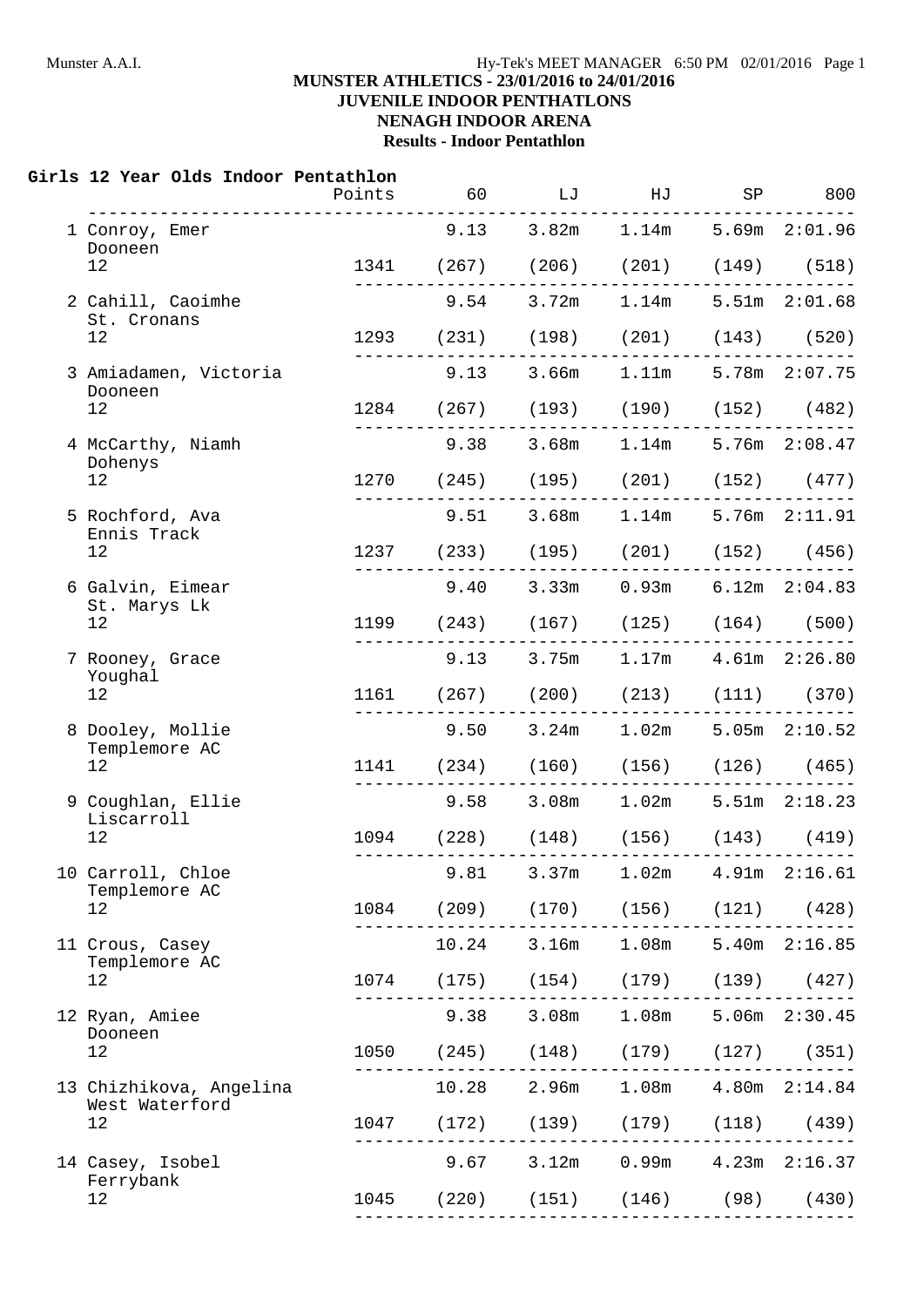# **JUVENILE INDOOR PENTHATLONS**

### **NENAGH INDOOR ARENA**

**Results - Indoor Pentathlon**

#### **Girls 12 Year Olds Indoor Pentathlon**

|                                           | Points | 60 | LJ | HJ                                                                        | SP S | 800                    |
|-------------------------------------------|--------|----|----|---------------------------------------------------------------------------|------|------------------------|
| 1 Conroy, Emer<br>Dooneen                 |        |    |    | 9.13 3.82m 1.14m 5.69m 2:01.96                                            |      |                        |
| 12                                        |        |    |    | 1341 (267) (206) (201) (149) (518)                                        |      |                        |
| 2 Cahill, Caoimhe<br>St. Cronans          |        |    |    | 9.54 3.72m 1.14m 5.51m 2:01.68                                            |      |                        |
| 12                                        |        |    |    | 1293 (231) (198) (201) (143) (520)                                        |      |                        |
| 3 Amiadamen, Victoria<br>Dooneen          |        |    |    | 9.13 3.66m 1.11m 5.78m 2:07.75                                            |      |                        |
| 12                                        |        |    |    | 1284 (267) (193) (190) (152) (482)                                        |      |                        |
| 4 McCarthy, Niamh<br>Dohenys              |        |    |    | 9.38 3.68m 1.14m 5.76m 2:08.47                                            |      |                        |
| 12                                        |        |    |    | 1270 (245) (195) (201) (152) (477)                                        |      |                        |
| 5 Rochford, Ava<br>Ennis Track            |        |    |    | $9.51$ $3.68m$ $1.14m$ $5.76m$ $2:11.91$                                  |      |                        |
| 12                                        |        |    |    | 1237 (233) (195) (201) (152) (456)<br>___________________                 |      |                        |
| 6 Galvin, Eimear<br>St. Marys Lk          |        |    |    | $9.40$ $3.33m$ $0.93m$ $6.12m$ $2:04.83$                                  |      |                        |
| 12                                        |        |    |    | 1199 (243) (167) (125) (164) (500)                                        |      |                        |
| 7 Rooney, Grace<br>Youghal                |        |    |    | 9.13 3.75m 1.17m 4.61m 2:26.80                                            |      |                        |
| 12                                        |        |    |    | 1161 (267) (200) (213) (111) (370)<br>----------------------------        |      |                        |
| 8 Dooley, Mollie<br>Templemore AC         |        |    |    | 9.50 3.24m 1.02m 5.05m 2:10.52                                            |      |                        |
| 12                                        |        |    |    | 1141 (234) (160) (156) (126) (465)                                        |      |                        |
| 9 Coughlan, Ellie<br>Liscarroll           |        |    |    | 9.58 3.08m 1.02m 5.51m 2:18.23                                            |      |                        |
| 12                                        |        |    |    | 1094 (228) (148) (156) (143) (419)                                        |      |                        |
| 10 Carroll, Chloe<br>Templemore AC        |        |    |    | 9.81 3.37m 1.02m 4.91m 2:16.61                                            |      |                        |
| 12                                        |        |    |    | 1084 (209) (170) (156) (121)                                              |      | (428)                  |
| 11 Crous, Casey<br>Templemore AC          |        |    |    | 10.24 3.16m 1.08m 5.40m 2:16.85                                           |      |                        |
| 12                                        |        |    |    | 1074 (175) (154) (179) (139) (427)<br>----------------------------------- |      |                        |
| 12 Ryan, Amiee<br>Dooneen                 |        |    |    | 9.38 3.08m 1.08m 5.06m 2:30.45                                            |      |                        |
| 12                                        |        |    |    | 1050 (245) (148) (179) (127) (351)                                        |      |                        |
| 13 Chizhikova, Angelina<br>West Waterford |        |    |    | 10.28 2.96m 1.08m 4.80m 2:14.84                                           |      |                        |
| 12                                        |        |    |    | 1047 (172) (139) (179) (118) (439)<br>______________________________      |      |                        |
| 14 Casey, Isobel                          |        |    |    | 9.67 3.12m 0.99m 4.23m 2:16.37                                            |      |                        |
| Ferrybank<br>12                           |        |    |    | 1045 (220) (151) (146) (98) (430)                                         |      | ---------------------- |
|                                           |        |    |    |                                                                           |      |                        |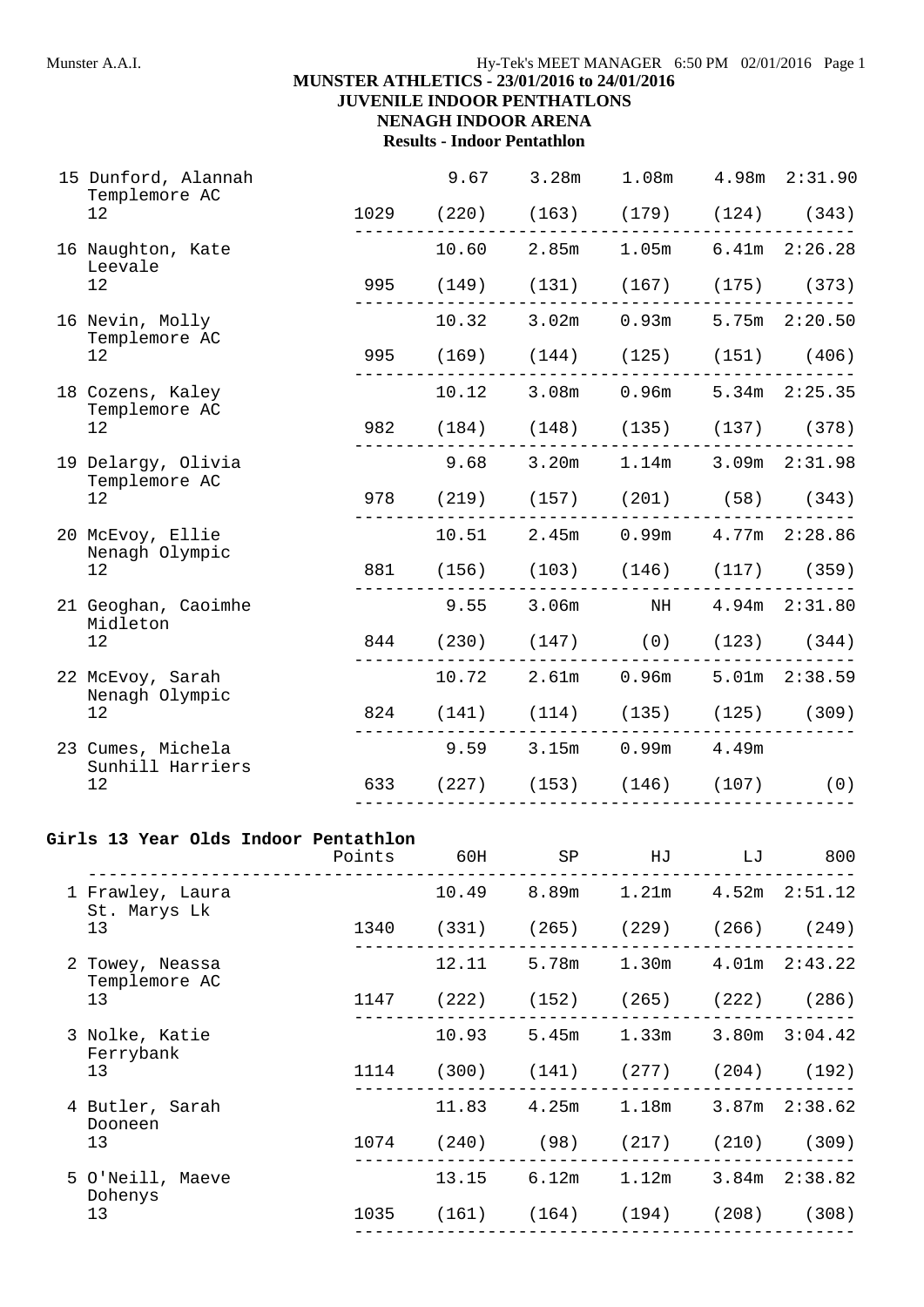#### Munster A.A.I. **Hy-Tek's MEET MANAGER** 6:50 PM 02/01/2016 Page 1

# **MUNSTER ATHLETICS - 23/01/2016 to 24/01/2016**

**JUVENILE INDOOR PENTHATLONS NENAGH INDOOR ARENA**

# **Results - Indoor Pentathlon**

| 15 Dunford, Alannah<br>Templemore AC        |      | 9.67 3.28m 1.08m 4.98m 2:31.90                                          |                           |  |
|---------------------------------------------|------|-------------------------------------------------------------------------|---------------------------|--|
| 12                                          |      | 1029 (220) (163) (179) (124) (343)                                      |                           |  |
| 16 Naughton, Kate<br>Leevale                |      | $10.60$ $2.85m$ $1.05m$ $6.41m$ $2:26.28$                               |                           |  |
| 12                                          |      | 995 (149) (131) (167) (175) (373)                                       |                           |  |
| 16 Nevin, Molly<br>Templemore AC            |      | 10.32 3.02m 0.93m 5.75m 2:20.50                                         |                           |  |
| 12                                          |      | 995 (169) (144) (125) (151) (406)                                       |                           |  |
| 18 Cozens, Kaley<br>Templemore AC           |      | 10.12 3.08m 0.96m 5.34m 2:25.35                                         |                           |  |
| 12                                          |      | 982 (184) (148) (135) (137) (378)                                       |                           |  |
| 19 Delargy, Olivia<br>Templemore AC         | 9.68 |                                                                         | 3.20m 1.14m 3.09m 2:31.98 |  |
| 12                                          |      | 978 (219) (157) (201) (58) (343)                                        |                           |  |
| 20 McEvoy, Ellie<br>Nenagh Olympic          |      | 10.51 2.45m 0.99m 4.77m 2:28.86                                         |                           |  |
| 12                                          |      | 881 (156) (103) (146) (117) (359)                                       |                           |  |
| 21 Geoghan, Caoimhe<br>Midleton             |      | 9.55 3.06m NH 4.94m 2:31.80                                             |                           |  |
| 12                                          |      | 844 (230) (147) (0) (123) (344)                                         |                           |  |
| 22 McEvoy, Sarah<br>Nenagh Olympic          |      | 10.72 2.61m 0.96m 5.01m 2:38.59                                         |                           |  |
| 12                                          |      | 824 (141) (114) (135) (125) (309)                                       |                           |  |
| 23 Cumes, Michela<br>Sunhill Harriers<br>12 |      | 9.59 3.15m 0.99m 4.49m                                                  |                           |  |
|                                             |      | 633 (227) (153) (146) (107) (0)<br>------------------------------------ |                           |  |
|                                             |      |                                                                         |                           |  |

#### **Girls 13 Year Olds Indoor Pentathlon**

|                                   | Points | 60H   | SP          | HJ                                      | LJ | 800               |
|-----------------------------------|--------|-------|-------------|-----------------------------------------|----|-------------------|
| 1 Frawley, Laura<br>St. Marys Lk  |        | 10.49 | 8.89m       | 1.21m                                   |    | $4.52m$ $2:51.12$ |
| 13                                |        |       |             | 1340 (331) (265) (229) (266) (249)      |    |                   |
| 2 Towey, Neassa<br>Templemore AC  |        | 12.11 | 5.78m       | 1.30m                                   |    | $4.01m$ $2:43.22$ |
| 13                                | 1147   |       |             | $(222)$ $(152)$ $(265)$ $(222)$ $(286)$ |    |                   |
| 3 Nolke, Katie<br>Ferrybank       |        | 10.93 |             | 5.45m 1.33m                             |    | $3.80m$ $3:04.42$ |
| 13                                |        |       |             | 1114 (300) (141) (277) (204) (192)      |    |                   |
| 4 Butler, Sarah<br>Dooneen        |        |       | 11.83 4.25m | 1.18m                                   |    | $3.87m$ $2:38.62$ |
| 13                                | 1074   |       |             | $(240)$ $(98)$ $(217)$                  |    | $(210)$ $(309)$   |
| 5 O'Neill, Maeve<br>Dohenys<br>13 |        | 13.15 | 6.12m       | 1.12m                                   |    | $3.84m$ $2:38.82$ |
|                                   |        |       |             | 1035 (161) (164) (194)                  |    | $(208)$ (308)     |
|                                   |        |       |             |                                         |    |                   |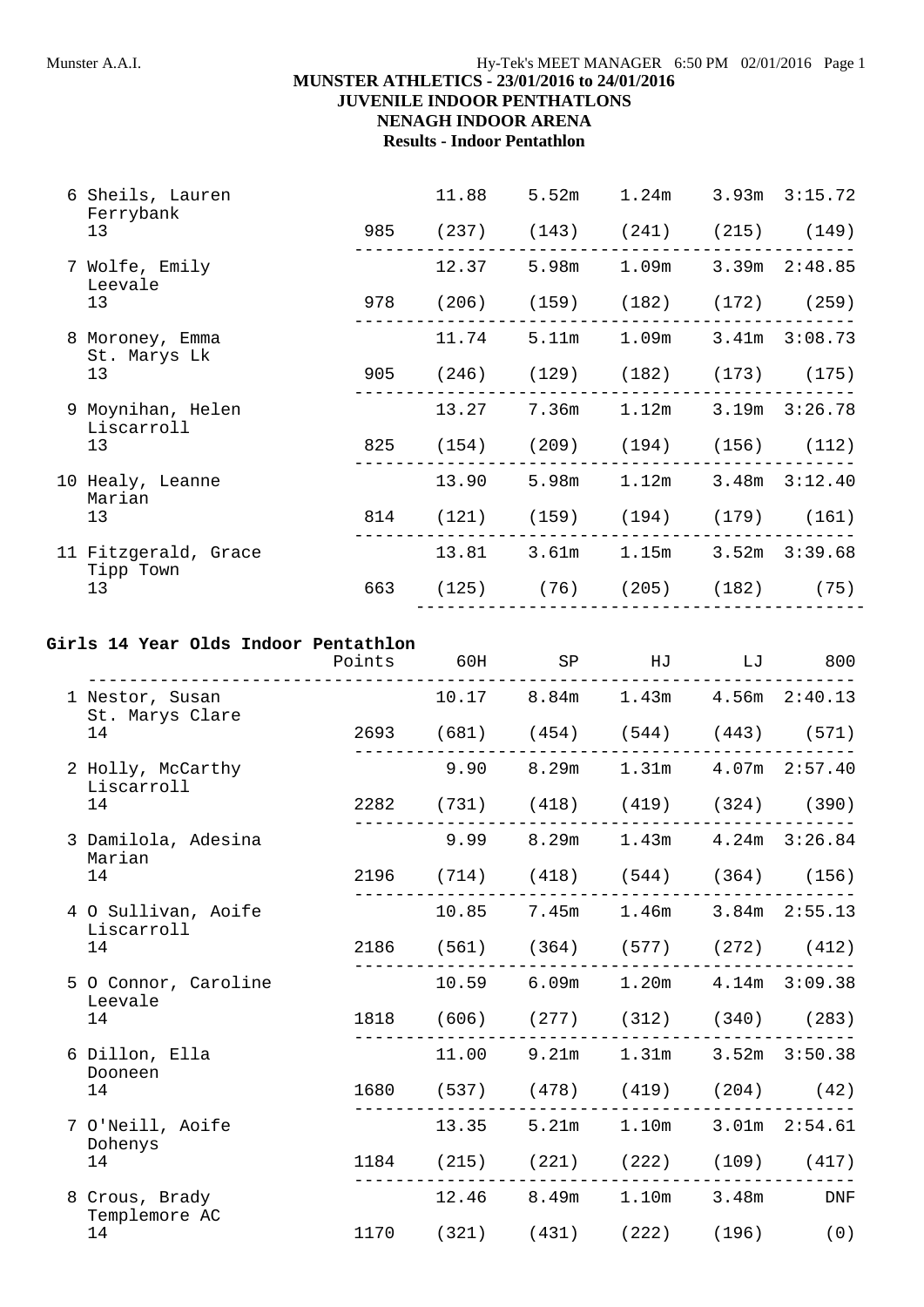#### **MUNSTER ATHLETICS - 23/01/2016 to 24/01/2016 JUVENILE INDOOR PENTHATLONS**

## **NENAGH INDOOR ARENA**

**Results - Indoor Pentathlon**

|                      | 6 Sheils, Lauren<br>Ferrybank   |     | 11.88                             | 5.52m | 1.24m                                 | $3.93m$ $3:15.72$ |
|----------------------|---------------------------------|-----|-----------------------------------|-------|---------------------------------------|-------------------|
|                      | 13                              |     | 985 (237) (143) (241) (215) (149) |       |                                       |                   |
|                      | 7 Wolfe, Emily<br>Leevale       |     | 12.37                             |       | 5.98m 1.09m 3.39m 2:48.85             |                   |
|                      | 13                              |     | 978 (206) (159) (182) (172) (259) |       |                                       |                   |
|                      | 8 Moroney, Emma<br>St. Marys Lk |     | 11.74                             |       | 5.11m 1.09m 3.41m 3:08.73             |                   |
|                      | 13                              |     | 905 (246) (129) (182) (173) (175) |       |                                       |                   |
|                      | 9 Moynihan, Helen<br>Liscarroll |     | 13.27                             |       | $7.36m$ $1.12m$                       | $3.19m$ $3:26.78$ |
|                      | 13                              |     | 825 (154) (209) (194) (156) (112) |       |                                       |                   |
|                      | 10 Healy, Leanne<br>Marian      |     | 13.90                             |       | 5.98m 1.12m 3.48m 3:12.40             |                   |
|                      | 13                              |     | 814 (121) (159) (194) (179) (161) |       |                                       |                   |
| 11 Fitzgerald, Grace | Tipp Town                       |     | 13.81                             |       | 3.61m 1.15m 3.52m 3:39.68             |                   |
|                      | 13                              | 663 |                                   |       | $(125)$ $(76)$ $(205)$ $(182)$ $(75)$ |                   |
|                      |                                 |     |                                   |       |                                       |                   |

### **Girls 14 Year Olds Indoor Pentathlon**

|                                       | Points | 60H   |       | SP HJ                              | LJ    | 800                       |
|---------------------------------------|--------|-------|-------|------------------------------------|-------|---------------------------|
| 1 Nestor, Susan<br>St. Marys Clare    |        |       |       | 10.17 8.84m 1.43m 4.56m 2:40.13    |       |                           |
| 14                                    |        |       |       | 2693 (681) (454) (544) (443) (571) |       |                           |
| 2 Holly, McCarthy<br>Liscarroll       |        | 9.90  | 8.29m |                                    |       | $1.31m$ $4.07m$ $2:57.40$ |
| 14                                    |        |       |       | 2282 (731) (418) (419) (324) (390) |       |                           |
| 3 Damilola, Adesina<br>Marian         |        | 9.99  |       | 8.29m 1.43m 4.24m 3:26.84          |       |                           |
| 14                                    |        |       |       | 2196 (714) (418) (544) (364) (156) |       |                           |
| 4 O Sullivan, Aoife<br>Liscarroll     |        | 10.85 | 7.45m | 1.46m 3.84m 2:55.13                |       |                           |
| 14                                    |        |       |       | 2186 (561) (364) (577) (272) (412) |       |                           |
| 5 O Connor, Caroline<br>Leevale       |        |       |       | 10.59 6.09m 1.20m 4.14m 3:09.38    |       |                           |
| 14                                    |        |       |       | 1818 (606) (277) (312) (340) (283) |       |                           |
| 6 Dillon, Ella<br>Dooneen             |        | 11.00 | 9.21m | 1.31m                              |       | $3.52m$ $3:50.38$         |
| 14                                    |        |       |       | 1680 (537) (478) (419) (204) (42)  |       |                           |
| 7 O'Neill, Aoife<br>Dohenys           |        |       |       | 13.35 5.21m 1.10m 3.01m 2:54.61    |       |                           |
| 14                                    |        |       |       | 1184 (215) (221) (222) (109) (417) |       |                           |
| 8 Crous, Brady<br>Templemore AC<br>14 |        | 12.46 | 8.49m | 1.10m                              | 3.48m | DNF                       |
|                                       |        |       |       | 1170 (321) (431) (222) (196) (0)   |       |                           |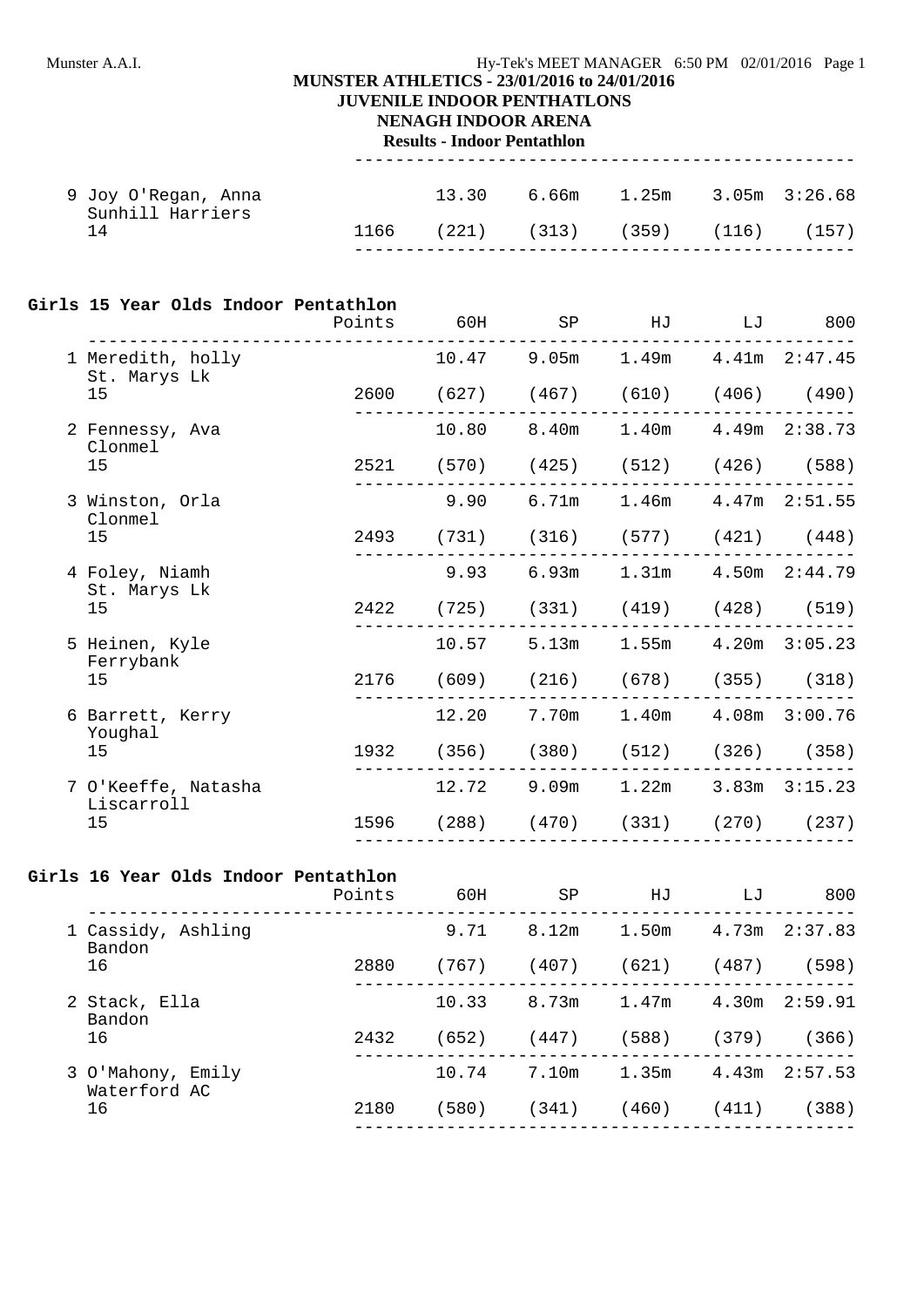#### Munster A.A.I. **Hy-Tek's MEET MANAGER** 6:50 PM 02/01/2016 Page 1

### **MUNSTER ATHLETICS - 23/01/2016 to 24/01/2016**

### **JUVENILE INDOOR PENTHATLONS**

**NENAGH INDOOR ARENA**

**Results - Indoor Pentathlon** -------------------------------------------------

| 9 Joy O'Regan, Anna<br>Sunhill Harriers |  | $13.30$ 6.66m $1.25m$ 3.05m 3:26.68  |  |  |
|-----------------------------------------|--|--------------------------------------|--|--|
| 14                                      |  | $1166$ (221) (313) (359) (116) (157) |  |  |

#### **Girls 15 Year Olds Indoor Pentathlon**

|                                   | Points 60H |       | SP | HJ                                      | LJ | 800 |
|-----------------------------------|------------|-------|----|-----------------------------------------|----|-----|
| 1 Meredith, holly<br>St. Marys Lk |            |       |    | $10.47$ 9.05m $1.49m$ $4.41m$ $2:47.45$ |    |     |
| 15                                |            |       |    | 2600 (627) (467) (610) (406) (490)      |    |     |
| 2 Fennessy, Ava<br>Clonmel        |            |       |    | 10.80 8.40m 1.40m 4.49m 2:38.73         |    |     |
| 15                                |            |       |    | 2521 (570) (425) (512) (426) (588)      |    |     |
| 3 Winston, Orla<br>Clonmel        |            | 9.90  |    | 6.71m 1.46m 4.47m 2:51.55               |    |     |
| 15                                |            |       |    | 2493 (731) (316) (577) (421) (448)      |    |     |
| 4 Foley, Niamh<br>St. Marys Lk    |            | 9.93  |    | 6.93m 1.31m 4.50m 2:44.79               |    |     |
| 15                                |            |       |    | 2422 (725) (331) (419) (428) (519)      |    |     |
| 5 Heinen, Kyle<br>Ferrybank       |            | 10.57 |    | 5.13m 1.55m 4.20m 3:05.23               |    |     |
| 15                                |            |       |    | 2176 (609) (216) (678) (355) (318)      |    |     |
| 6 Barrett, Kerry                  |            | 12.20 |    | 7.70m 1.40m 4.08m 3:00.76               |    |     |
| Youghal<br>15                     |            |       |    | 1932 (356) (380) (512) (326) (358)      |    |     |
| 7 O'Keeffe, Natasha               |            | 12.72 |    | 9.09m 1.22m 3.83m 3:15.23               |    |     |
| Liscarroll<br>15                  |            |       |    | 1596 (288) (470) (331) (270) (237)      |    |     |
|                                   |            |       |    |                                         |    |     |

#### **Girls 16 Year Olds Indoor Pentathlon**

|                                    | Points | 60H   | SP    | HJ    | LJ    | 800               |
|------------------------------------|--------|-------|-------|-------|-------|-------------------|
| 1 Cassidy, Ashling<br>Bandon<br>16 |        | 9.71  | 8.12m | 1.50m |       | $4.73m$ $2:37.83$ |
|                                    | 2880   | (767) | (407) | (621) | (487) | (598)             |
| 2 Stack, Ella<br>Bandon            |        | 10.33 | 8.73m | 1.47m | 4.30m | 2:59.91           |
| 16                                 | 2432   | (652) | (447) | (588) | (379) | (366)             |
| 3 O'Mahony, Emily<br>Waterford AC  |        | 10.74 | 7.10m | 1.35m | 4.43m | 2:57.53           |
| 16                                 | 2180   | (580) | (341) | (460) | (411) | (388)             |
|                                    |        |       |       |       |       |                   |